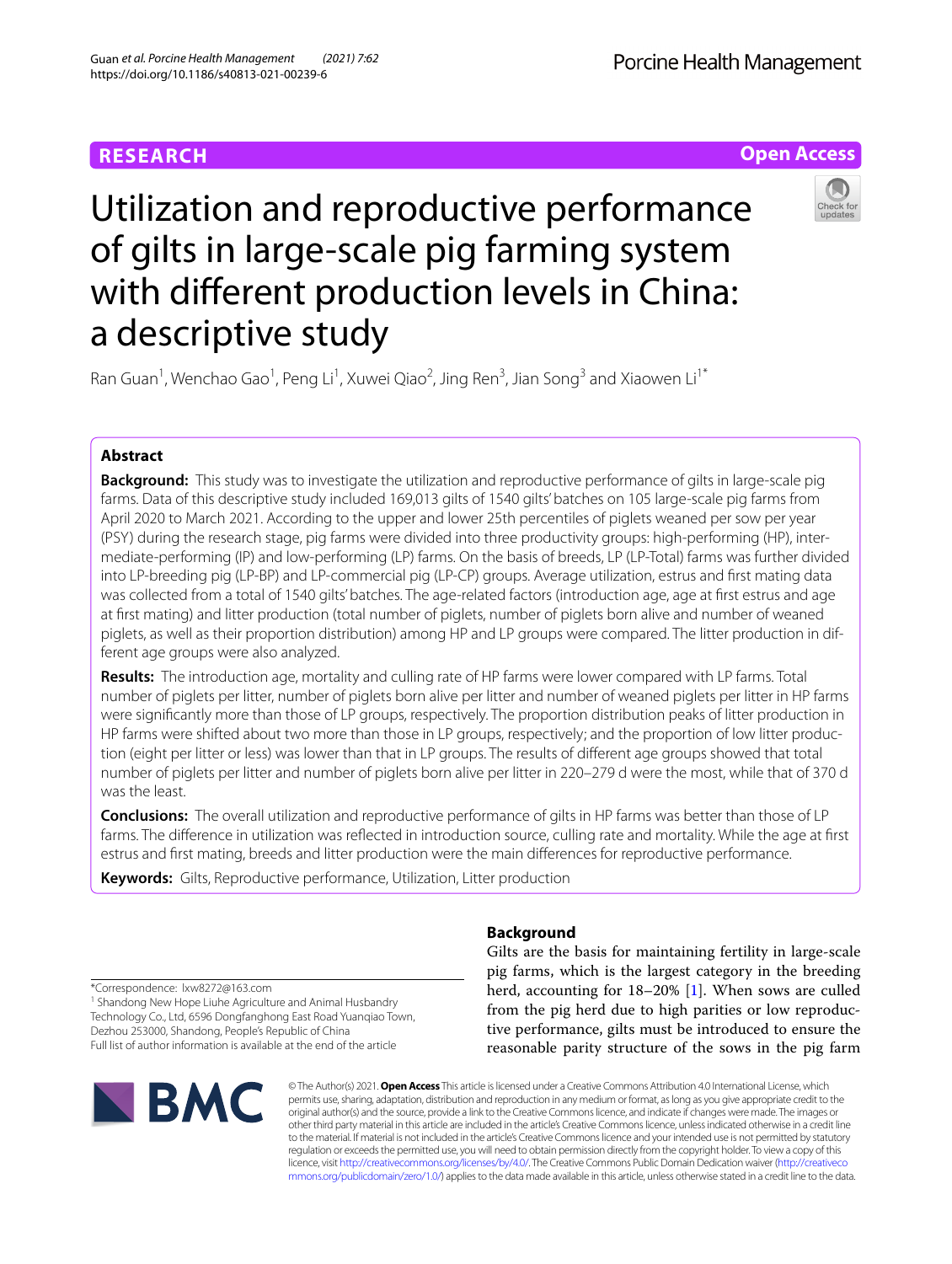Porcine Health Management

## **Open Access**



# Utilization and reproductive performance of gilts in large-scale pig farming system with diferent production levels in China: a descriptive study

Ran Guan<sup>1</sup>, Wenchao Gao<sup>1</sup>, Peng Li<sup>1</sup>, Xuwei Qiao<sup>2</sup>, Jing Ren<sup>3</sup>, Jian Song<sup>3</sup> and Xiaowen Li<sup>1\*</sup>

### **Abstract**

**Background:** This study was to investigate the utilization and reproductive performance of gilts in large-scale pig farms. Data of this descriptive study included 169,013 gilts of 1540 gilts' batches on 105 large-scale pig farms from April 2020 to March 2021. According to the upper and lower 25th percentiles of piglets weaned per sow per year (PSY) during the research stage, pig farms were divided into three productivity groups: high-performing (HP), intermediate-performing (IP) and low-performing (LP) farms. On the basis of breeds, LP (LP-Total) farms was further divided into LP-breeding pig (LP-BP) and LP-commercial pig (LP-CP) groups. Average utilization, estrus and frst mating data was collected from a total of 1540 gilts' batches. The age-related factors (introduction age, age at frst estrus and age at frst mating) and litter production (total number of piglets, number of piglets born alive and number of weaned piglets, as well as their proportion distribution) among HP and LP groups were compared. The litter production in different age groups were also analyzed.

**Results:** The introduction age, mortality and culling rate of HP farms were lower compared with LP farms. Total number of piglets per litter, number of piglets born alive per litter and number of weaned piglets per litter in HP farms were signifcantly more than those of LP groups, respectively. The proportion distribution peaks of litter production in HP farms were shifted about two more than those in LP groups, respectively; and the proportion of low litter production (eight per litter or less) was lower than that in LP groups. The results of diferent age groups showed that total number of piglets per litter and number of piglets born alive per litter in 220–279 d were the most, while that of 370 d was the least.

**Conclusions:** The overall utilization and reproductive performance of gilts in HP farms was better than those of LP farms. The diference in utilization was refected in introduction source, culling rate and mortality. While the age at frst estrus and frst mating, breeds and litter production were the main diferences for reproductive performance.

**Keywords:** Gilts, Reproductive performance, Utilization, Litter production

## **Background**

Gilts are the basis for maintaining fertility in large-scale pig farms, which is the largest category in the breeding herd, accounting for 18–20% [[1\]](#page-7-0). When sows are culled from the pig herd due to high parities or low reproductive performance, gilts must be introduced to ensure the reasonable parity structure of the sows in the pig farm

\*Correspondence: lxw8272@163.com

<sup>1</sup> Shandong New Hope Liuhe Agriculture and Animal Husbandry Technology Co., Ltd, 6596 Dongfanghong East Road Yuanqiao Town, Dezhou 253000, Shandong, People's Republic of China Full list of author information is available at the end of the article



© The Author(s) 2021. **Open Access** This article is licensed under a Creative Commons Attribution 4.0 International License, which permits use, sharing, adaptation, distribution and reproduction in any medium or format, as long as you give appropriate credit to the original author(s) and the source, provide a link to the Creative Commons licence, and indicate if changes were made. The images or other third party material in this article are included in the article's Creative Commons licence, unless indicated otherwise in a credit line to the material. If material is not included in the article's Creative Commons licence and your intended use is not permitted by statutory regulation or exceeds the permitted use, you will need to obtain permission directly from the copyright holder. To view a copy of this licence, visit [http://creativecommons.org/licenses/by/4.0/.](http://creativecommons.org/licenses/by/4.0/) The Creative Commons Public Domain Dedication waiver ([http://creativeco](http://creativecommons.org/publicdomain/zero/1.0/) [mmons.org/publicdomain/zero/1.0/](http://creativecommons.org/publicdomain/zero/1.0/)) applies to the data made available in this article, unless otherwise stated in a credit line to the data.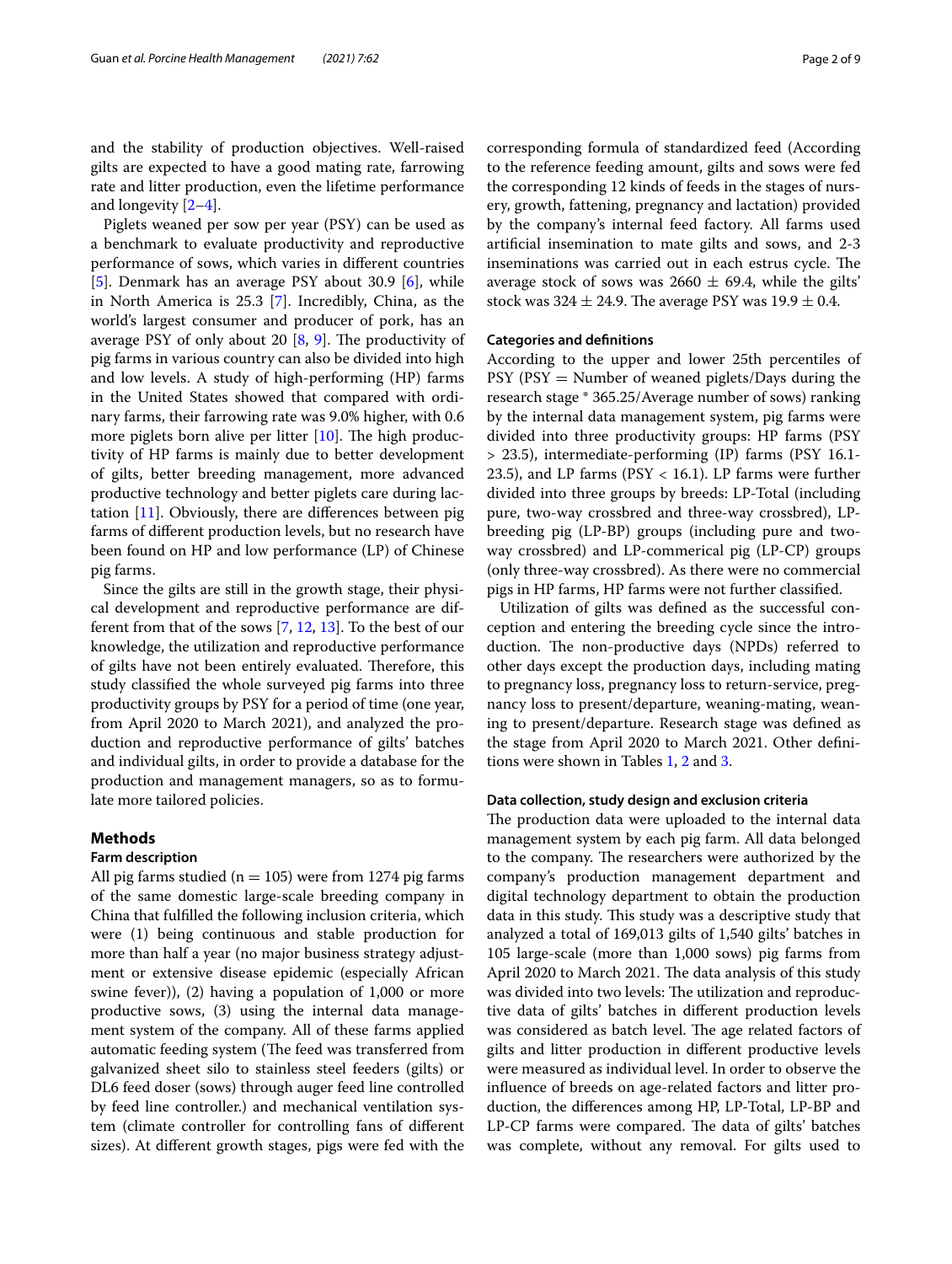Piglets weaned per sow per year (PSY) can be used as a benchmark to evaluate productivity and reproductive performance of sows, which varies in diferent countries [[5\]](#page-7-3). Denmark has an average PSY about 30.9 [\[6](#page-7-4)], while in North America is 25.3 [[7\]](#page-7-5). Incredibly, China, as the world's largest consumer and producer of pork, has an average PSY of only about 20  $[8, 9]$  $[8, 9]$  $[8, 9]$ . The productivity of pig farms in various country can also be divided into high and low levels. A study of high-performing (HP) farms in the United States showed that compared with ordinary farms, their farrowing rate was 9.0% higher, with 0.6 more piglets born alive per litter  $[10]$  $[10]$ . The high productivity of HP farms is mainly due to better development of gilts, better breeding management, more advanced productive technology and better piglets care during lactation [\[11](#page-7-9)]. Obviously, there are diferences between pig farms of diferent production levels, but no research have been found on HP and low performance (LP) of Chinese pig farms.

Since the gilts are still in the growth stage, their physical development and reproductive performance are different from that of the sows [[7,](#page-7-5) [12](#page-7-10), [13\]](#page-7-11). To the best of our knowledge, the utilization and reproductive performance of gilts have not been entirely evaluated. Therefore, this study classifed the whole surveyed pig farms into three productivity groups by PSY for a period of time (one year, from April 2020 to March 2021), and analyzed the production and reproductive performance of gilts' batches and individual gilts, in order to provide a database for the production and management managers, so as to formulate more tailored policies.

#### **Methods**

#### **Farm description**

All pig farms studied ( $n = 105$ ) were from 1274 pig farms of the same domestic large-scale breeding company in China that fulflled the following inclusion criteria, which were (1) being continuous and stable production for more than half a year (no major business strategy adjustment or extensive disease epidemic (especially African swine fever)), (2) having a population of 1,000 or more productive sows, (3) using the internal data management system of the company. All of these farms applied automatic feeding system (The feed was transferred from galvanized sheet silo to stainless steel feeders (gilts) or DL6 feed doser (sows) through auger feed line controlled by feed line controller.) and mechanical ventilation system (climate controller for controlling fans of diferent sizes). At diferent growth stages, pigs were fed with the corresponding formula of standardized feed (According to the reference feeding amount, gilts and sows were fed the corresponding 12 kinds of feeds in the stages of nursery, growth, fattening, pregnancy and lactation) provided by the company's internal feed factory. All farms used artifcial insemination to mate gilts and sows, and 2-3 inseminations was carried out in each estrus cycle. The average stock of sows was  $2660 \pm 69.4$ , while the gilts'

stock was  $324 \pm 24.9$ . The average PSY was  $19.9 \pm 0.4$ .

#### **Categories and defnitions**

According to the upper and lower 25th percentiles of  $PSY$  ( $PSY$  = Number of weaned piglets/Days during the research stage \* 365.25/Average number of sows) ranking by the internal data management system, pig farms were divided into three productivity groups: HP farms (PSY > 23.5), intermediate-performing (IP) farms (PSY 16.1- 23.5), and LP farms (PSY < 16.1). LP farms were further divided into three groups by breeds: LP-Total (including pure, two-way crossbred and three-way crossbred), LPbreeding pig (LP-BP) groups (including pure and twoway crossbred) and LP-commerical pig (LP-CP) groups (only three-way crossbred). As there were no commercial pigs in HP farms, HP farms were not further classifed.

Utilization of gilts was defned as the successful conception and entering the breeding cycle since the introduction. The non-productive days (NPDs) referred to other days except the production days, including mating to pregnancy loss, pregnancy loss to return-service, pregnancy loss to present/departure, weaning-mating, weaning to present/departure. Research stage was defned as the stage from April 2020 to March 2021. Other defnitions were shown in Tables [1,](#page-2-0) [2](#page-2-1) and [3](#page-3-0).

#### **Data collection, study design and exclusion criteria**

The production data were uploaded to the internal data management system by each pig farm. All data belonged to the company. The researchers were authorized by the company's production management department and digital technology department to obtain the production data in this study. This study was a descriptive study that analyzed a total of 169,013 gilts of 1,540 gilts' batches in 105 large-scale (more than 1,000 sows) pig farms from April 2020 to March 2021. The data analysis of this study was divided into two levels: The utilization and reproductive data of gilts' batches in diferent production levels was considered as batch level. The age related factors of gilts and litter production in diferent productive levels were measured as individual level. In order to observe the infuence of breeds on age-related factors and litter production, the diferences among HP, LP-Total, LP-BP and LP-CP farms were compared. The data of gilts' batches was complete, without any removal. For gilts used to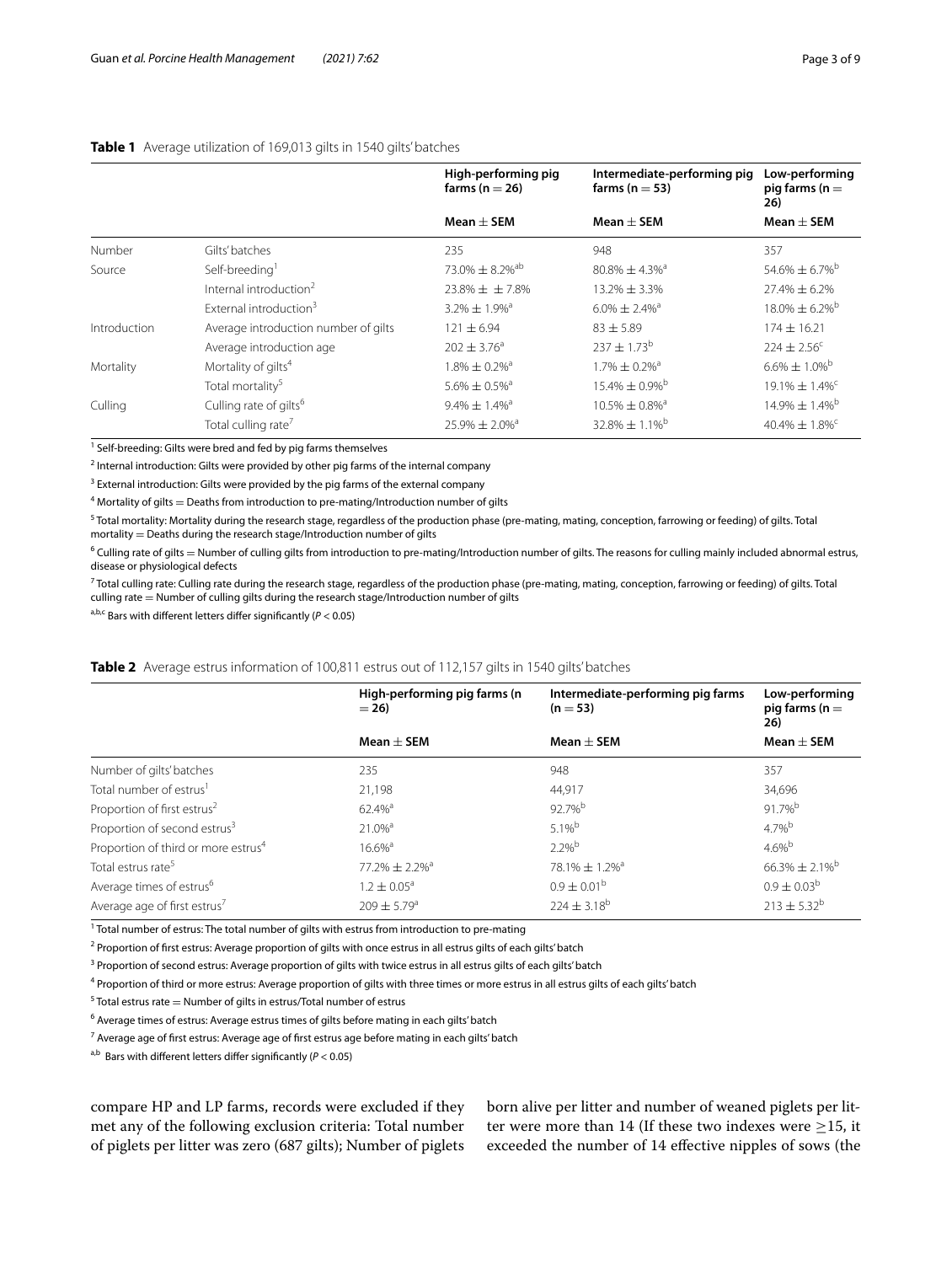<span id="page-2-0"></span>

|              |                                      | High-performing pig<br>farms ( $n = 26$ ) | Intermediate-performing pig<br>farms ( $n = 53$ ) | Low-performing<br>pig farms ( $n =$<br>26) |
|--------------|--------------------------------------|-------------------------------------------|---------------------------------------------------|--------------------------------------------|
|              |                                      | Mean $\pm$ SEM                            | $Mean + SEM$                                      | $Mean + SEM$                               |
| Number       | Gilts' batches                       | 235                                       | 948                                               | 357                                        |
| Source       | Self-breeding <sup>1</sup>           | 73.0% $\pm$ 8.2% <sup>ab</sup>            | $80.8\% \pm 4.3\%$ <sup>a</sup>                   | $54.6\% \pm 6.7\%$ <sup>b</sup>            |
|              | Internal introduction <sup>2</sup>   | $23.8\% + + 7.8\%$                        | $13.2\% \pm 3.3\%$                                | $27.4\% \pm 6.2\%$                         |
|              | External introduction <sup>3</sup>   | $3.2\% \pm 1.9\%$ <sup>a</sup>            | $6.0\% \pm 2.4\%$ <sup>a</sup>                    | $18.0\% \pm 6.2\%$ <sup>b</sup>            |
| Introduction | Average introduction number of gilts | $121 \pm 6.94$                            | $83 \pm 5.89$                                     | $174 + 16.21$                              |
|              | Average introduction age             | $202 + 3.76^a$                            | $237 + 1.73^b$                                    | $224 \pm 2.56^c$                           |
| Mortality    | Mortality of gilts <sup>4</sup>      | $1.8\% \pm 0.2\%$ <sup>a</sup>            | 1.7% $\pm$ 0.2% <sup>a</sup>                      | $6.6\% \pm 1.0\%$ <sup>b</sup>             |
|              | Total mortality <sup>5</sup>         | $5.6\% \pm 0.5\%$ <sup>a</sup>            | $15.4\% \pm 0.9\%$ <sup>b</sup>                   | $19.1\% \pm 1.4\%$ <sup>C</sup>            |
| Culling      | Culling rate of gilts <sup>6</sup>   | $9.4\% \pm 1.4\%$ <sup>a</sup>            | $10.5\% \pm 0.8\%$ <sup>a</sup>                   | $14.9\% \pm 1.4\%$ <sup>b</sup>            |
|              | Total culling rate <sup>7</sup>      | $25.9\% \pm 2.0\%$ <sup>a</sup>           | $32.8\% \pm 1.1\%$ <sup>b</sup>                   | $40.4\% \pm 1.8\%$ <sup>C</sup>            |

<sup>1</sup> Self-breeding: Gilts were bred and fed by pig farms themselves

<sup>2</sup> Internal introduction: Gilts were provided by other pig farms of the internal company

 $3$  External introduction: Gilts were provided by the pig farms of the external company

 $^4$  Mortality of gilts  $=$  Deaths from introduction to pre-mating/Introduction number of gilts

<sup>5</sup> Total mortality: Mortality during the research stage, regardless of the production phase (pre-mating, mating, conception, farrowing or feeding) of gilts. Total mortality = Deaths during the research stage/Introduction number of gilts

 $^6$  Culling rate of gilts  $=$  Number of culling gilts from introduction to pre-mating/Introduction number of gilts. The reasons for culling mainly included abnormal estrus, disease or physiological defects

<sup>7</sup> Total culling rate: Culling rate during the research stage, regardless of the production phase (pre-mating, mating, conception, farrowing or feeding) of gilts. Total culling rate = Number of culling gilts during the research stage/Introduction number of gilts

a,b,c Bars with diferent letters difer signifcantly (*P* < 0.05)

#### <span id="page-2-1"></span>**Table 2** Average estrus information of 100,811 estrus out of 112,157 gilts in 1540 gilts' batches

|                                                 | High-performing pig farms (n<br>$= 26$ | Intermediate-performing pig farms<br>$(n = 53)$ | Low-performing<br>pig farms ( $n =$<br>26) |
|-------------------------------------------------|----------------------------------------|-------------------------------------------------|--------------------------------------------|
|                                                 | Mean $\pm$ SEM                         | $Mean + SEM$                                    | Mean $\pm$ SEM                             |
| Number of gilts' batches                        | 235                                    | 948                                             | 357                                        |
| Total number of estrus <sup>1</sup>             | 21,198                                 | 44,917                                          | 34,696                                     |
| Proportion of first estrus <sup>2</sup>         | $62.4%$ <sup>a</sup>                   | 92.7%b                                          | 91.7%b                                     |
| Proportion of second estrus <sup>3</sup>        | $21.0%$ <sup>a</sup>                   | $5.1%^{b}$                                      | $4.7\%$ <sup>b</sup>                       |
| Proportion of third or more estrus <sup>4</sup> | $16.6\%$ <sup>a</sup>                  | $2.2%^{b}$                                      | $4.6%^{b}$                                 |
| Total estrus rate <sup>5</sup>                  | $77.2\% \pm 2.2\%$ <sup>a</sup>        | $78.1\% \pm 1.2\%$ <sup>a</sup>                 | $66.3\% \pm 2.1\%$ <sup>b</sup>            |
| Average times of estrus <sup>6</sup>            | $1.2 \pm 0.05^{\circ}$                 | $0.9 \pm 0.01^{\rm b}$                          | $0.9 \pm 0.03^b$                           |
| Average age of first estrus <sup>7</sup>        | $209 \pm 5.79^{\circ}$                 | $224 \pm 3.18^{b}$                              | $213 \pm 5.32^b$                           |

<sup>1</sup> Total number of estrus: The total number of gilts with estrus from introduction to pre-mating

<sup>2</sup> Proportion of first estrus: Average proportion of gilts with once estrus in all estrus gilts of each gilts' batch

<sup>3</sup> Proportion of second estrus: Average proportion of gilts with twice estrus in all estrus gilts of each gilts' batch

<sup>4</sup> Proportion of third or more estrus: Average proportion of gilts with three times or more estrus in all estrus gilts of each gilts' batch

 $5$  Total estrus rate  $=$  Number of gilts in estrus/Total number of estrus

 $^6$  Average times of estrus: Average estrus times of gilts before mating in each gilts' batch

 $^7$  Average age of first estrus: Average age of first estrus age before mating in each gilts' batch

 $a,b$  Bars with different letters differ significantly ( $P < 0.05$ )

compare HP and LP farms, records were excluded if they met any of the following exclusion criteria: Total number of piglets per litter was zero (687 gilts); Number of piglets born alive per litter and number of weaned piglets per litter were more than 14 (If these two indexes were  $\geq$ 15, it exceeded the number of 14 efective nipples of sows (the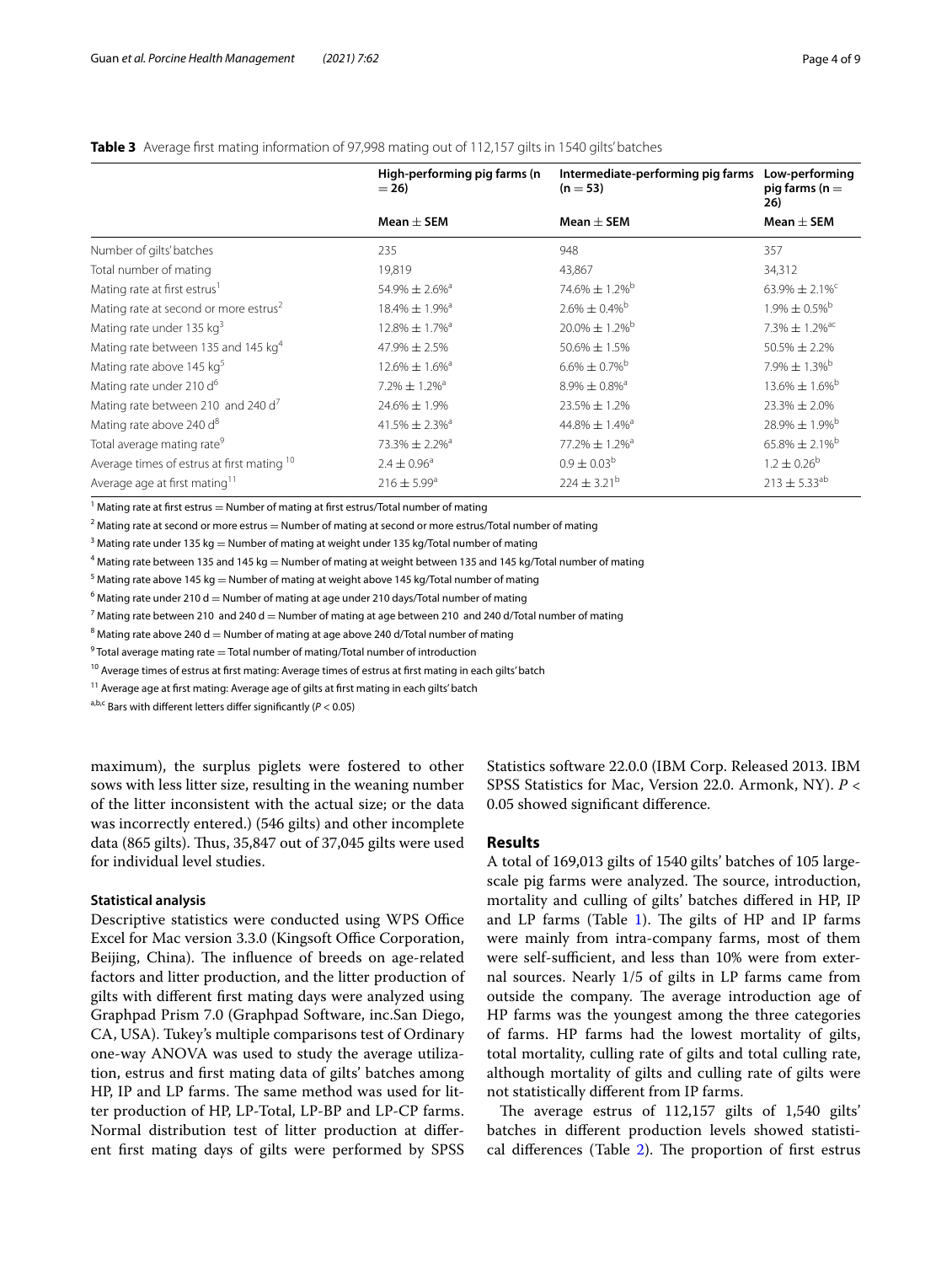|                                                   | High-performing pig farms (n<br>$= 26$ | Intermediate-performing pig farms<br>$(n = 53)$ | Low-performing<br>pig farms ( $n =$<br>26) |
|---------------------------------------------------|----------------------------------------|-------------------------------------------------|--------------------------------------------|
|                                                   | Mean $\pm$ SEM                         | Mean $\pm$ SEM                                  | Mean $\pm$ SEM                             |
| Number of gilts' batches                          | 235                                    | 948                                             | 357                                        |
| Total number of mating                            | 19,819                                 | 43,867                                          | 34,312                                     |
| Mating rate at first estrus <sup>1</sup>          | 54.9% $\pm 2.6\%$ <sup>3</sup>         | $74.6\% \pm 1.2\%$ <sup>b</sup>                 | 63.9% $\pm$ 2.1% <sup>c</sup>              |
| Mating rate at second or more estrus <sup>2</sup> | $18.4\% \pm 1.9\%$ <sup>3</sup>        | $2.6\% \pm 0.4\%$ <sup>b</sup>                  | $1.9\% \pm 0.5\%$ <sup>b</sup>             |
| Mating rate under 135 kg <sup>3</sup>             | $12.8\% \pm 1.7\%$ <sup>a</sup>        | $20.0\% \pm 1.2\%$ <sup>b</sup>                 | 7.3% $\pm$ 1.2% <sup>ac</sup>              |
| Mating rate between 135 and 145 kg <sup>4</sup>   | $47.9\% \pm 2.5\%$                     | 50.6% ± 1.5%                                    | $50.5\% \pm 2.2\%$                         |
| Mating rate above 145 kg <sup>5</sup>             | $12.6\% \pm 1.6\%$ <sup>3</sup>        | $6.6\% \pm 0.7\%$ <sup>b</sup>                  | 7.9% $\pm$ 1.3% <sup>b</sup>               |
| Mating rate under 210 d <sup>6</sup>              | $7.2\% \pm 1.2\%$ <sup>a</sup>         | $8.9\% \pm 0.8\%$ <sup>a</sup>                  | $13.6\% \pm 1.6\%$ <sup>b</sup>            |
| Mating rate between 210 and 240 d <sup>7</sup>    | 24.6% ± 1.9%                           | 23.5% ± 1.2%                                    | $23.3\% \pm 2.0\%$                         |
| Mating rate above 240 d <sup>8</sup>              | $41.5\% \pm 2.3\%$ <sup>3</sup>        | 44.8% $\pm$ 1.4% <sup>a</sup>                   | $28.9\% \pm 1.9\%$ <sup>b</sup>            |
| Total average mating rate <sup>9</sup>            | $73.3\% \pm 2.2\%$ <sup>a</sup>        | 77.2% ± 1.2% <sup>a</sup>                       | $65.8\% \pm 2.1\%$ <sup>b</sup>            |
| Average times of estrus at first mating 10        | $2.4 \pm 0.96^{\circ}$                 | $0.9 \pm 0.03^b$                                | $1.2 \pm 0.26^{\circ}$                     |
| Average age at first mating <sup>11</sup>         | $216 \pm 5.99^{\circ}$                 | $224 \pm 3.21^{\circ}$                          | $213 \pm 5.33^{ab}$                        |

#### <span id="page-3-0"></span>**Table 3** Average frst mating information of 97,998 mating out of 112,157 gilts in 1540 gilts' batches

 $^1$  Mating rate at first estrus  $=$  Number of mating at first estrus/Total number of mating

 $^2$  Mating rate at second or more estrus  $=$  Number of mating at second or more estrus/Total number of mating

 $^3$  Mating rate under 135 kg  $=$  Number of mating at weight under 135 kg/Total number of mating

 $^4$  Mating rate between 135 and 145 kg  $=$  Number of mating at weight between 135 and 145 kg/Total number of mating

 $^5$  Mating rate above 145 kg  $=$  Number of mating at weight above 145 kg/Total number of mating

 $^6$  Mating rate under 210 d  $=$  Number of mating at age under 210 days/Total number of mating

 $^7$  Mating rate between 210  $\,$  and 240 d  $=$  Number of mating at age between 210  $\,$  and 240 d/Total number of mating

 $^8$  Mating rate above 240 d  $=$  Number of mating at age above 240 d/Total number of mating

 $^9$  Total average mating rate  $=$  Total number of mating/Total number of introduction

<sup>10</sup> Average times of estrus at first mating: Average times of estrus at first mating in each gilts' batch

 $^{11}$  Average age at first mating: Average age of gilts at first mating in each gilts' batch

a,b,c Bars with diferent letters difer signifcantly (*P* < 0.05)

maximum), the surplus piglets were fostered to other sows with less litter size, resulting in the weaning number of the litter inconsistent with the actual size; or the data was incorrectly entered.) (546 gilts) and other incomplete data (865 gilts). Thus, 35,847 out of 37,045 gilts were used for individual level studies.

#### **Statistical analysis**

Descriptive statistics were conducted using WPS Office Excel for Mac version 3.3.0 (Kingsoft Office Corporation, Beijing, China). The influence of breeds on age-related factors and litter production, and the litter production of gilts with diferent frst mating days were analyzed using Graphpad Prism 7.0 (Graphpad Software, inc.San Diego, CA, USA). Tukey's multiple comparisons test of Ordinary one-way ANOVA was used to study the average utilization, estrus and frst mating data of gilts' batches among HP, IP and LP farms. The same method was used for litter production of HP, LP-Total, LP-BP and LP-CP farms. Normal distribution test of litter production at diferent frst mating days of gilts were performed by SPSS Statistics software 22.0.0 (IBM Corp. Released 2013. IBM SPSS Statistics for Mac, Version 22.0. Armonk, NY). *P* < 0.05 showed signifcant diference.

#### **Results**

A total of 169,013 gilts of 1540 gilts' batches of 105 largescale pig farms were analyzed. The source, introduction, mortality and culling of gilts' batches difered in HP, IP and LP farms (Table  $1$ ). The gilts of HP and IP farms were mainly from intra-company farms, most of them were self-sufficient, and less than 10% were from external sources. Nearly 1/5 of gilts in LP farms came from outside the company. The average introduction age of HP farms was the youngest among the three categories of farms. HP farms had the lowest mortality of gilts, total mortality, culling rate of gilts and total culling rate, although mortality of gilts and culling rate of gilts were not statistically diferent from IP farms.

The average estrus of  $112,157$  gilts of  $1,540$  gilts' batches in diferent production levels showed statisti-cal differences (Table [2](#page-2-1)). The proportion of first estrus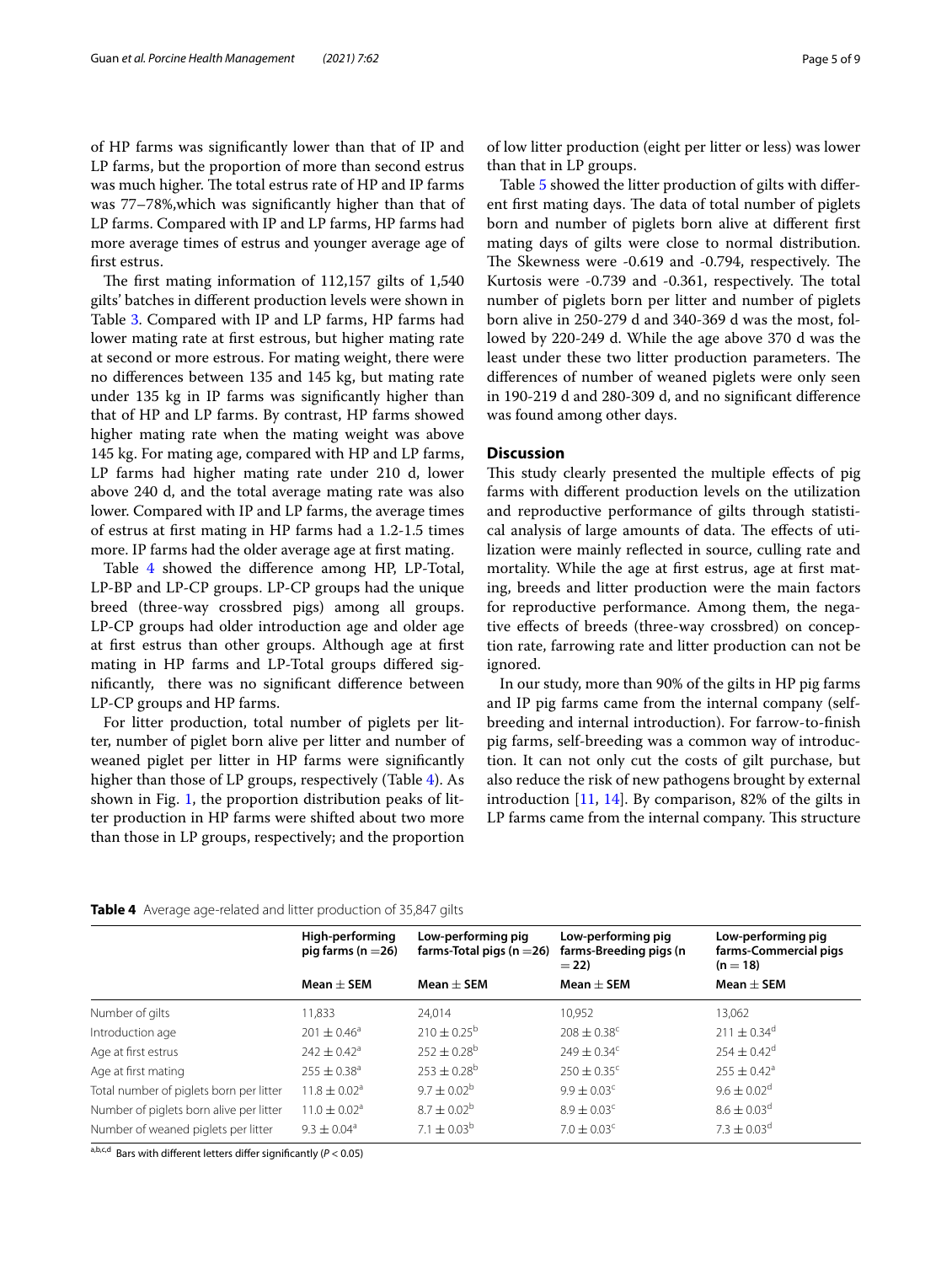of HP farms was signifcantly lower than that of IP and LP farms, but the proportion of more than second estrus was much higher. The total estrus rate of HP and IP farms was 77–78%,which was signifcantly higher than that of LP farms. Compared with IP and LP farms, HP farms had more average times of estrus and younger average age of frst estrus.

The first mating information of  $112,157$  gilts of  $1,540$ gilts' batches in diferent production levels were shown in Table [3.](#page-3-0) Compared with IP and LP farms, HP farms had lower mating rate at frst estrous, but higher mating rate at second or more estrous. For mating weight, there were no diferences between 135 and 145 kg, but mating rate under 135 kg in IP farms was signifcantly higher than that of HP and LP farms. By contrast, HP farms showed higher mating rate when the mating weight was above 145 kg. For mating age, compared with HP and LP farms, LP farms had higher mating rate under 210 d, lower above 240 d, and the total average mating rate was also lower. Compared with IP and LP farms, the average times of estrus at frst mating in HP farms had a 1.2-1.5 times more. IP farms had the older average age at frst mating.

Table [4](#page-4-0) showed the diference among HP, LP-Total, LP-BP and LP-CP groups. LP-CP groups had the unique breed (three-way crossbred pigs) among all groups. LP-CP groups had older introduction age and older age at frst estrus than other groups. Although age at frst mating in HP farms and LP-Total groups difered signifcantly, there was no signifcant diference between LP-CP groups and HP farms.

For litter production, total number of piglets per litter, number of piglet born alive per litter and number of weaned piglet per litter in HP farms were signifcantly higher than those of LP groups, respectively (Table [4\)](#page-4-0). As shown in Fig. [1](#page-5-0), the proportion distribution peaks of litter production in HP farms were shifted about two more than those in LP groups, respectively; and the proportion of low litter production (eight per litter or less) was lower than that in LP groups.

Table [5](#page-5-1) showed the litter production of gilts with diferent first mating days. The data of total number of piglets born and number of piglets born alive at diferent frst mating days of gilts were close to normal distribution. The Skewness were -0.619 and -0.794, respectively. The Kurtosis were -0.739 and -0.361, respectively. The total number of piglets born per litter and number of piglets born alive in 250-279 d and 340-369 d was the most, followed by 220-249 d. While the age above 370 d was the least under these two litter production parameters. The diferences of number of weaned piglets were only seen in 190-219 d and 280-309 d, and no signifcant diference was found among other days.

#### **Discussion**

This study clearly presented the multiple effects of pig farms with diferent production levels on the utilization and reproductive performance of gilts through statistical analysis of large amounts of data. The effects of utilization were mainly refected in source, culling rate and mortality. While the age at frst estrus, age at frst mating, breeds and litter production were the main factors for reproductive performance. Among them, the negative efects of breeds (three-way crossbred) on conception rate, farrowing rate and litter production can not be ignored.

In our study, more than 90% of the gilts in HP pig farms and IP pig farms came from the internal company (selfbreeding and internal introduction). For farrow-to-fnish pig farms, self-breeding was a common way of introduction. It can not only cut the costs of gilt purchase, but also reduce the risk of new pathogens brought by external introduction [[11,](#page-7-9) [14\]](#page-7-12). By comparison, 82% of the gilts in LP farms came from the internal company. This structure

<span id="page-4-0"></span>

| Table 4 Average age-related and litter production of 35,847 gilts |  |
|-------------------------------------------------------------------|--|
|-------------------------------------------------------------------|--|

|                                         | High-performing<br>pig farms ( $n = 26$ ) | Low-performing pig<br>farms-Total pigs ( $n = 26$ ) | Low-performing pig<br>farms-Breeding pigs (n<br>$= 22$ | Low-performing pig<br>farms-Commercial pigs<br>$(n = 18)$ |
|-----------------------------------------|-------------------------------------------|-----------------------------------------------------|--------------------------------------------------------|-----------------------------------------------------------|
|                                         | Mean $\pm$ SEM                            | Mean $\pm$ SEM                                      | Mean $\pm$ SEM                                         | Mean $\pm$ SEM                                            |
| Number of gilts                         | 11,833                                    | 24.014                                              | 10,952                                                 | 13.062                                                    |
| Introduction age                        | $201 \pm 0.46^{\circ}$                    | $210 \pm 0.25^{\circ}$                              | $208 \pm 0.38^{\circ}$                                 | $211 \pm 0.34^d$                                          |
| Age at first estrus                     | $242 \pm 0.42^a$                          | $252 \pm 0.28^{\circ}$                              | $749 + 0.34^c$                                         | $254 \pm 0.42$ <sup>d</sup>                               |
| Age at first mating                     | $255 \pm 0.38$ <sup>a</sup>               | $253 \pm 0.28^{\rm b}$                              | $250 \pm 0.35^{\circ}$                                 | $255 \pm 0.42^a$                                          |
| Total number of piglets born per litter | $11.8 \pm 0.02$ <sup>a</sup>              | $9.7 \pm 0.02^b$                                    | $9.9 \pm 0.03$ <sup>c</sup>                            | $9.6 \pm 0.02$ <sup>d</sup>                               |
| Number of piglets born alive per litter | $11.0 \pm 0.02$ <sup>a</sup>              | $8.7 \pm 0.02^b$                                    | $8.9 \pm 0.03^c$                                       | $8.6 \pm 0.03$ <sup>d</sup>                               |
| Number of weaned piglets per litter     | $9.3 \pm 0.04^{\circ}$                    | 7.1 $\pm$ 0.03 <sup>b</sup>                         | $7.0 \pm 0.03$ <sup>c</sup>                            | $7.3 \pm 0.03$ <sup>d</sup>                               |
|                                         |                                           |                                                     |                                                        |                                                           |

a,b,c,d Bars with diferent letters difer signifcantly (*P* < 0.05)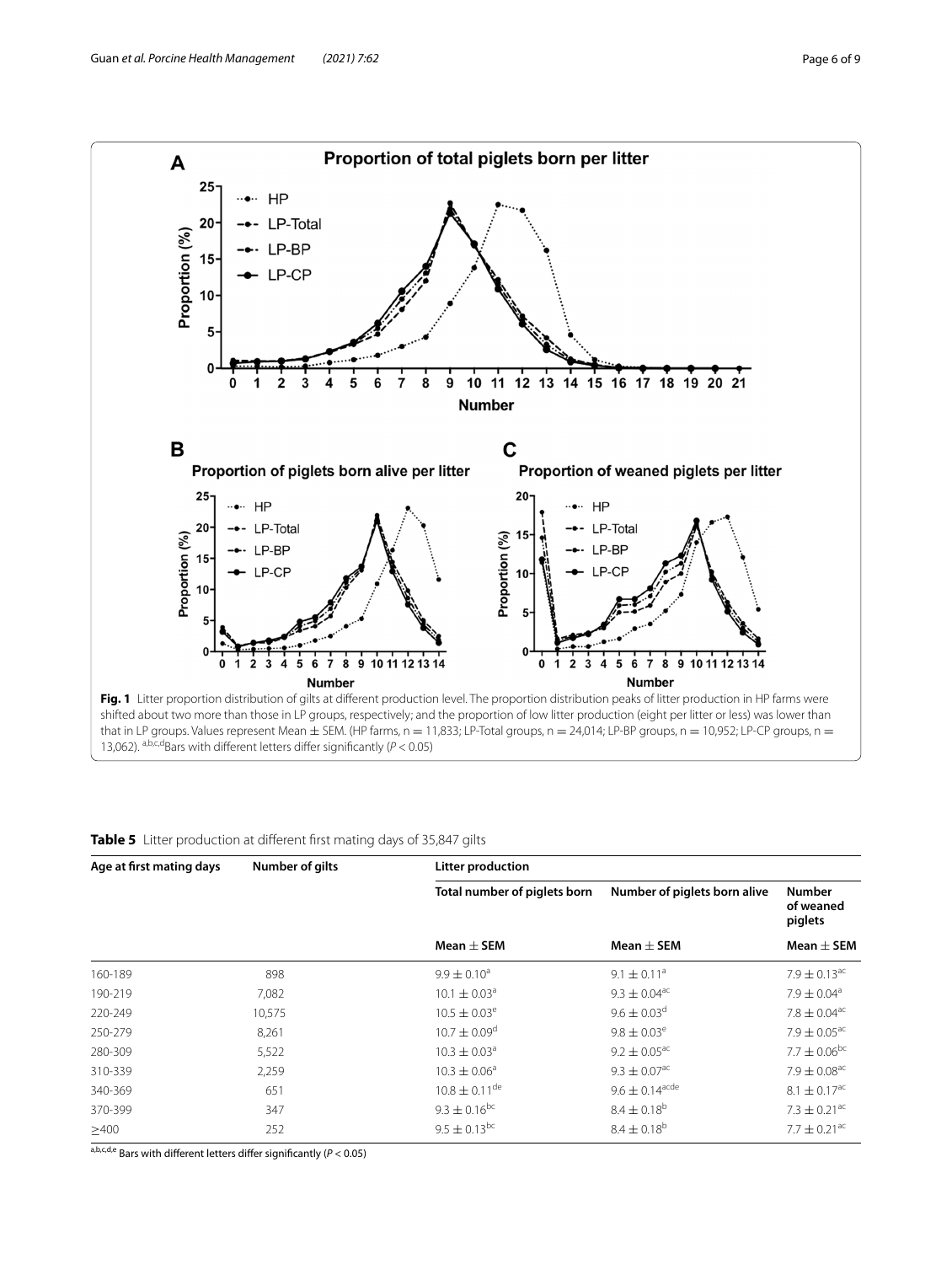

<span id="page-5-1"></span><span id="page-5-0"></span>

| Table 5 Litter production at different first mating days of 35,847 gilts |  |
|--------------------------------------------------------------------------|--|
|--------------------------------------------------------------------------|--|

| Age at first mating days | Number of gilts | Litter production            |                              |                                       |  |
|--------------------------|-----------------|------------------------------|------------------------------|---------------------------------------|--|
|                          |                 | Total number of piglets born | Number of piglets born alive | <b>Number</b><br>of weaned<br>piglets |  |
|                          |                 | Mean $\pm$ SEM               | Mean $\pm$ SEM               | Mean $\pm$ SEM                        |  |
| 160-189                  | 898             | $9.9 \pm 0.10^a$             | $9.1 \pm 0.11^a$             | $7.9 \pm 0.13$ <sup>ac</sup>          |  |
| 190-219                  | 7,082           | $10.1 \pm 0.03^{\circ}$      | $9.3 \pm 0.04^{\text{ac}}$   | $7.9 \pm 0.04$ <sup>a</sup>           |  |
| 220-249                  | 10,575          | $10.5 \pm 0.03^e$            | $9.6 \pm 0.03$ <sup>d</sup>  | $7.8 \pm 0.04$ <sup>ac</sup>          |  |
| 250-279                  | 8,261           | $10.7 \pm 0.09$ <sup>d</sup> | $9.8 \pm 0.03^e$             | $7.9 \pm 0.05$ <sup>ac</sup>          |  |
| 280-309                  | 5,522           | $10.3 \pm 0.03^{\circ}$      | $9.2 \pm 0.05^{\text{ac}}$   | $7.7 \pm 0.06^{bc}$                   |  |
| 310-339                  | 2,259           | $10.3 \pm 0.06^{\circ}$      | $9.3 \pm 0.07$ <sup>ac</sup> | $7.9 \pm 0.08^{\text{ac}}$            |  |
| 340-369                  | 651             | $10.8 \pm 0.11^{\text{de}}$  | $9.6 \pm 0.14^{\text{acde}}$ | $8.1 \pm 0.17$ <sup>ac</sup>          |  |
| 370-399                  | 347             | $9.3 \pm 0.16^{bc}$          | $8.4 \pm 0.18^{b}$           | $7.3 \pm 0.21$ <sup>ac</sup>          |  |
| $\geq 400$               | 252             | $9.5 \pm 0.13^{bc}$          | $8.4 \pm 0.18^{b}$           | $7.7 \pm 0.21$ <sup>ac</sup>          |  |

a,b,c,d,e Bars with diferent letters difer signifcantly (*P* < 0.05)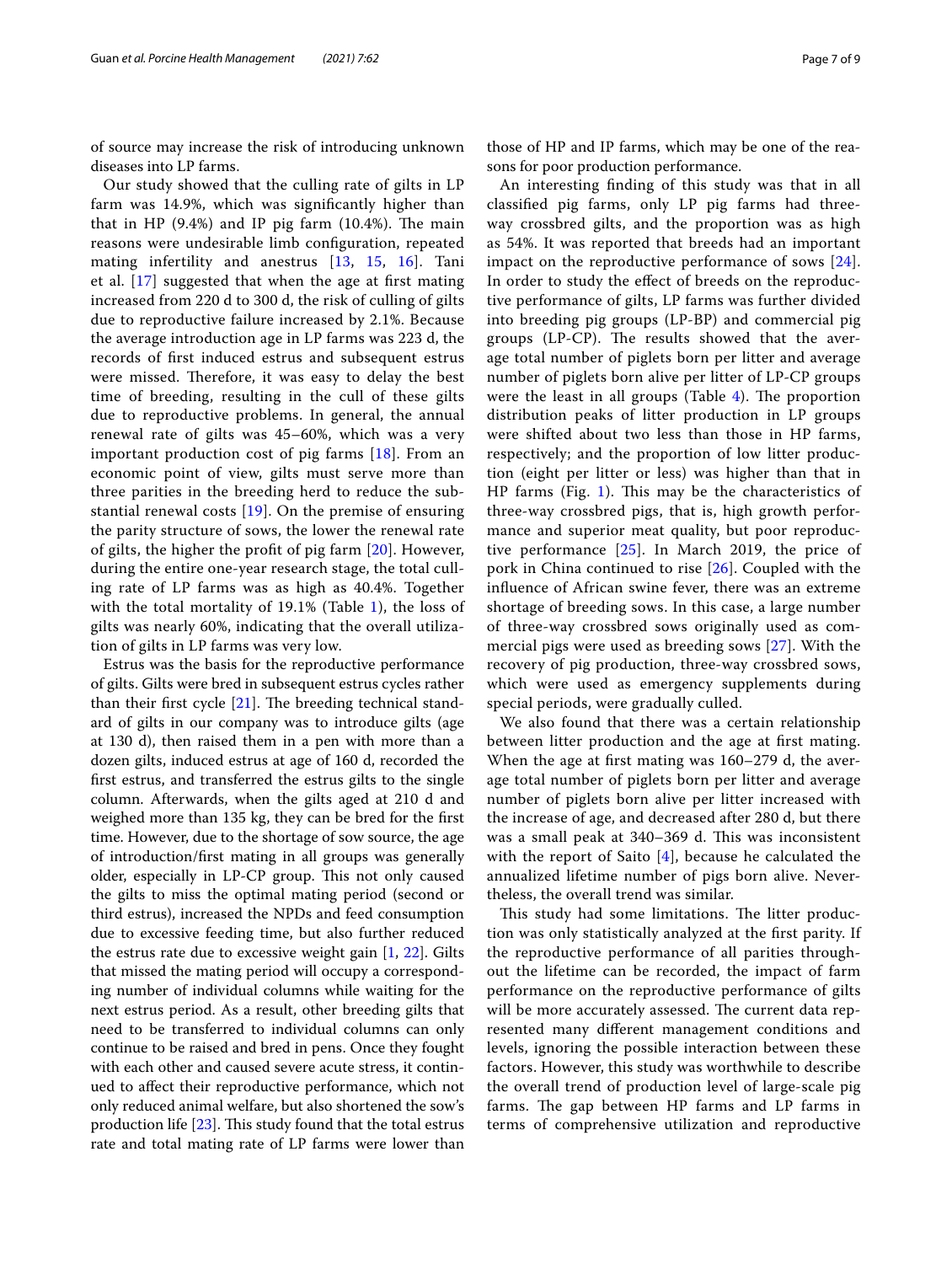of source may increase the risk of introducing unknown diseases into LP farms.

Our study showed that the culling rate of gilts in LP farm was 14.9%, which was signifcantly higher than that in HP  $(9.4%)$  and IP pig farm  $(10.4%)$ . The main reasons were undesirable limb confguration, repeated mating infertility and anestrus [\[13](#page-7-11), [15](#page-7-13), [16\]](#page-7-14). Tani et al. [\[17](#page-7-15)] suggested that when the age at frst mating increased from 220 d to 300 d, the risk of culling of gilts due to reproductive failure increased by 2.1%. Because the average introduction age in LP farms was 223 d, the records of frst induced estrus and subsequent estrus were missed. Therefore, it was easy to delay the best time of breeding, resulting in the cull of these gilts due to reproductive problems. In general, the annual renewal rate of gilts was 45–60%, which was a very important production cost of pig farms [[18\]](#page-7-16). From an economic point of view, gilts must serve more than three parities in the breeding herd to reduce the substantial renewal costs [\[19\]](#page-7-17). On the premise of ensuring the parity structure of sows, the lower the renewal rate of gilts, the higher the proft of pig farm [[20\]](#page-7-18). However, during the entire one-year research stage, the total culling rate of LP farms was as high as 40.4%. Together with the total mortality of 19.1% (Table [1\)](#page-2-0), the loss of gilts was nearly 60%, indicating that the overall utilization of gilts in LP farms was very low.

Estrus was the basis for the reproductive performance of gilts. Gilts were bred in subsequent estrus cycles rather than their first cycle  $[21]$  $[21]$  $[21]$ . The breeding technical standard of gilts in our company was to introduce gilts (age at 130 d), then raised them in a pen with more than a dozen gilts, induced estrus at age of 160 d, recorded the frst estrus, and transferred the estrus gilts to the single column. Afterwards, when the gilts aged at 210 d and weighed more than 135 kg, they can be bred for the frst time. However, due to the shortage of sow source, the age of introduction/frst mating in all groups was generally older, especially in LP-CP group. This not only caused the gilts to miss the optimal mating period (second or third estrus), increased the NPDs and feed consumption due to excessive feeding time, but also further reduced the estrus rate due to excessive weight gain [\[1](#page-7-0), [22](#page-7-20)]. Gilts that missed the mating period will occupy a corresponding number of individual columns while waiting for the next estrus period. As a result, other breeding gilts that need to be transferred to individual columns can only continue to be raised and bred in pens. Once they fought with each other and caused severe acute stress, it continued to afect their reproductive performance, which not only reduced animal welfare, but also shortened the sow's production life  $[23]$  $[23]$ . This study found that the total estrus rate and total mating rate of LP farms were lower than

those of HP and IP farms, which may be one of the reasons for poor production performance.

An interesting fnding of this study was that in all classifed pig farms, only LP pig farms had threeway crossbred gilts, and the proportion was as high as 54%. It was reported that breeds had an important impact on the reproductive performance of sows [[24](#page-8-0)]. In order to study the efect of breeds on the reproductive performance of gilts, LP farms was further divided into breeding pig groups (LP-BP) and commercial pig groups (LP-CP). The results showed that the average total number of piglets born per litter and average number of piglets born alive per litter of LP-CP groups were the least in all groups (Table  $4$ ). The proportion distribution peaks of litter production in LP groups were shifted about two less than those in HP farms, respectively; and the proportion of low litter production (eight per litter or less) was higher than that in HP farms (Fig.  $1$ ). This may be the characteristics of three-way crossbred pigs, that is, high growth performance and superior meat quality, but poor reproductive performance [\[25](#page-8-1)]. In March 2019, the price of pork in China continued to rise [[26\]](#page-8-2). Coupled with the infuence of African swine fever, there was an extreme shortage of breeding sows. In this case, a large number of three-way crossbred sows originally used as commercial pigs were used as breeding sows [\[27\]](#page-8-3). With the recovery of pig production, three-way crossbred sows, which were used as emergency supplements during special periods, were gradually culled.

We also found that there was a certain relationship between litter production and the age at frst mating. When the age at frst mating was 160–279 d, the average total number of piglets born per litter and average number of piglets born alive per litter increased with the increase of age, and decreased after 280 d, but there was a small peak at 340–369 d. This was inconsistent with the report of Saito [\[4](#page-7-2)], because he calculated the annualized lifetime number of pigs born alive. Nevertheless, the overall trend was similar.

This study had some limitations. The litter production was only statistically analyzed at the frst parity. If the reproductive performance of all parities throughout the lifetime can be recorded, the impact of farm performance on the reproductive performance of gilts will be more accurately assessed. The current data represented many diferent management conditions and levels, ignoring the possible interaction between these factors. However, this study was worthwhile to describe the overall trend of production level of large-scale pig farms. The gap between HP farms and LP farms in terms of comprehensive utilization and reproductive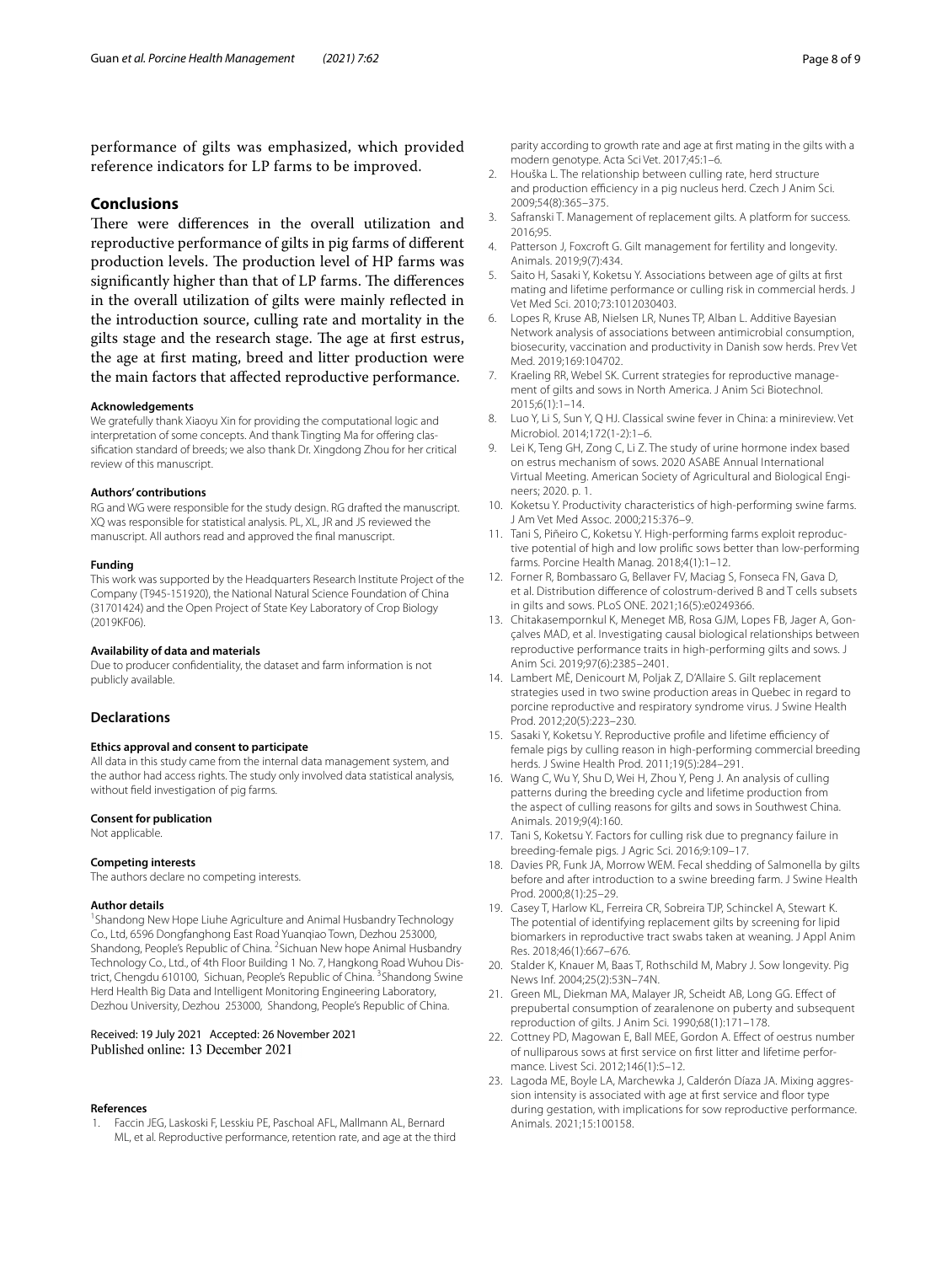performance of gilts was emphasized, which provided reference indicators for LP farms to be improved.

#### **Conclusions**

There were differences in the overall utilization and reproductive performance of gilts in pig farms of diferent production levels. The production level of HP farms was significantly higher than that of LP farms. The differences in the overall utilization of gilts were mainly refected in the introduction source, culling rate and mortality in the gilts stage and the research stage. The age at first estrus, the age at frst mating, breed and litter production were the main factors that afected reproductive performance.

#### **Acknowledgements**

We gratefully thank Xiaoyu Xin for providing the computational logic and interpretation of some concepts. And thank Tingting Ma for offering classifcation standard of breeds; we also thank Dr. Xingdong Zhou for her critical review of this manuscript.

#### **Authors' contributions**

RG and WG were responsible for the study design. RG drafted the manuscript. XQ was responsible for statistical analysis. PL, XL, JR and JS reviewed the manuscript. All authors read and approved the fnal manuscript.

#### **Funding**

This work was supported by the Headquarters Research Institute Project of the Company (T945-151920), the National Natural Science Foundation of China (31701424) and the Open Project of State Key Laboratory of Crop Biology (2019KF06).

#### **Availability of data and materials**

Due to producer confdentiality, the dataset and farm information is not publicly available.

#### **Declarations**

#### **Ethics approval and consent to participate**

All data in this study came from the internal data management system, and the author had access rights. The study only involved data statistical analysis, without feld investigation of pig farms.

#### **Consent for publication**

Not applicable.

#### **Competing interests**

The authors declare no competing interests.

#### **Author details**

<sup>1</sup> Shandong New Hope Liuhe Agriculture and Animal Husbandry Technology Co., Ltd, 6596 Dongfanghong East Road Yuanqiao Town, Dezhou 253000, Shandong, People's Republic of China. <sup>2</sup> Sichuan New hope Animal Husbandry Technology Co., Ltd., of 4th Floor Building 1 No. 7, Hangkong Road Wuhou District, Chengdu 610100, Sichuan, People's Republic of China. <sup>3</sup>Shandong Swine Herd Health Big Data and Intelligent Monitoring Engineering Laboratory, Dezhou University, Dezhou 253000, Shandong, People's Republic of China.

## Received: 19 July 2021 Accepted: 26 November 2021

#### **References**

<span id="page-7-0"></span>1. Faccin JEG, Laskoski F, Lesskiu PE, Paschoal AFL, Mallmann AL, Bernard ML, et al. Reproductive performance, retention rate, and age at the third parity according to growth rate and age at frst mating in the gilts with a modern genotype. Acta Sci Vet. 2017;45:1–6.

- <span id="page-7-1"></span>2. Houška L. The relationship between culling rate, herd structure and production efficiency in a pig nucleus herd. Czech J Anim Sci. 2009;54(8):365–375.
- 3. Safranski T. Management of replacement gilts. A platform for success. 2016;95.
- <span id="page-7-2"></span>4. Patterson J, Foxcroft G. Gilt management for fertility and longevity. Animals. 2019;9(7):434.
- <span id="page-7-3"></span>5. Saito H, Sasaki Y, Koketsu Y. Associations between age of gilts at frst mating and lifetime performance or culling risk in commercial herds. J Vet Med Sci. 2010;73:1012030403.
- <span id="page-7-4"></span>6. Lopes R, Kruse AB, Nielsen LR, Nunes TP, Alban L. Additive Bayesian Network analysis of associations between antimicrobial consumption, biosecurity, vaccination and productivity in Danish sow herds. Prev Vet Med. 2019;169:104702.
- <span id="page-7-5"></span>7. Kraeling RR, Webel SK. Current strategies for reproductive management of gilts and sows in North America. J Anim Sci Biotechnol. 2015;6(1):1–14.
- <span id="page-7-6"></span>8. Luo Y, Li S, Sun Y, Q HJ. Classical swine fever in China: a minireview. Vet Microbiol. 2014;172(1-2):1–6.
- <span id="page-7-7"></span>9. Lei K, Teng GH, Zong C, Li Z. The study of urine hormone index based on estrus mechanism of sows. 2020 ASABE Annual International Virtual Meeting. American Society of Agricultural and Biological Engineers; 2020. p. 1.
- <span id="page-7-8"></span>10. Koketsu Y. Productivity characteristics of high-performing swine farms. J Am Vet Med Assoc. 2000;215:376–9.
- <span id="page-7-9"></span>11. Tani S, Piñeiro C, Koketsu Y. High-performing farms exploit reproductive potential of high and low prolifc sows better than low-performing farms. Porcine Health Manag. 2018;4(1):1–12.
- <span id="page-7-10"></span>12. Forner R, Bombassaro G, Bellaver FV, Maciag S, Fonseca FN, Gava D, et al. Distribution diference of colostrum-derived B and T cells subsets in gilts and sows. PLoS ONE. 2021;16(5):e0249366.
- <span id="page-7-11"></span>13. Chitakasempornkul K, Meneget MB, Rosa GJM, Lopes FB, Jager A, Gonçalves MAD, et al. Investigating causal biological relationships between reproductive performance traits in high-performing gilts and sows. J Anim Sci. 2019;97(6):2385–2401.
- <span id="page-7-12"></span>14. Lambert MÈ, Denicourt M, Poljak Z, D'Allaire S. Gilt replacement strategies used in two swine production areas in Quebec in regard to porcine reproductive and respiratory syndrome virus. J Swine Health Prod. 2012;20(5):223–230.
- <span id="page-7-13"></span>15. Sasaki Y, Koketsu Y. Reproductive profile and lifetime efficiency of female pigs by culling reason in high-performing commercial breeding herds. J Swine Health Prod. 2011;19(5):284–291.
- <span id="page-7-14"></span>16. Wang C, Wu Y, Shu D, Wei H, Zhou Y, Peng J. An analysis of culling patterns during the breeding cycle and lifetime production from the aspect of culling reasons for gilts and sows in Southwest China. Animals. 2019;9(4):160.
- <span id="page-7-15"></span>17. Tani S, Koketsu Y. Factors for culling risk due to pregnancy failure in breeding-female pigs. J Agric Sci. 2016;9:109–17.
- <span id="page-7-16"></span>18. Davies PR, Funk JA, Morrow WEM. Fecal shedding of Salmonella by gilts before and after introduction to a swine breeding farm. J Swine Health Prod. 2000;8(1):25–29.
- <span id="page-7-17"></span>19. Casey T, Harlow KL, Ferreira CR, Sobreira TJP, Schinckel A, Stewart K. The potential of identifying replacement gilts by screening for lipid biomarkers in reproductive tract swabs taken at weaning. J Appl Anim Res. 2018;46(1):667–676.
- <span id="page-7-18"></span>20. Stalder K, Knauer M, Baas T, Rothschild M, Mabry J. Sow longevity. Pig News Inf. 2004;25(2):53N–74N.
- <span id="page-7-19"></span>21. Green ML, Diekman MA, Malayer JR, Scheidt AB, Long GG. Efect of prepubertal consumption of zearalenone on puberty and subsequent reproduction of gilts. J Anim Sci. 1990;68(1):171–178.
- <span id="page-7-20"></span>22. Cottney PD, Magowan E, Ball MEE, Gordon A. Efect of oestrus number of nulliparous sows at frst service on frst litter and lifetime performance. Livest Sci. 2012;146(1):5–12.
- <span id="page-7-21"></span>23. Lagoda ME, Boyle LA, Marchewka J, Calderón Díaza JA. Mixing aggression intensity is associated with age at first service and floor type during gestation, with implications for sow reproductive performance. Animals. 2021;15:100158.